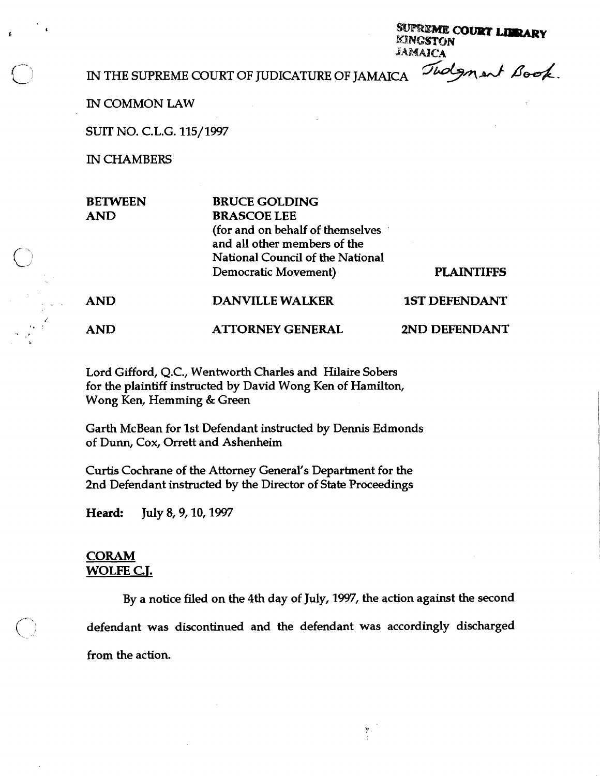SUPREME COURT LIBRARY **KINGSTON** JAMAICA

IN THE SUPREME COURT OF JUDICATURE OF JAMAICA  $\widetilde$  *Judgment Book*.

IN COMMON LAW

SUIT NO. C.L.G. 115/1997

IN CHAMBERS

|   | <b>BETWEEN</b> | <b>BRUCE GOLDING</b>             |                      |
|---|----------------|----------------------------------|----------------------|
|   | <b>AND</b>     | <b>BRASCOE LEE</b>               |                      |
|   |                | (for and on behalf of themselves |                      |
|   |                | and all other members of the     |                      |
| ر |                | National Council of the National |                      |
|   |                | Democratic Movement)             | <b>PLAINTIFFS</b>    |
|   | <b>AND</b>     | <b>DANVILLE WALKER</b>           | <b>1ST DEFENDANT</b> |
|   | <b>AND</b>     | <b>ATTORNEY GENERAL</b>          | 2ND DEFENDANT        |

Lord Gifford, Q.C., Wentworth Charles and Hilaire Sobers for the plaintiff instructed by David Wong Ken of Hamilton, Wong Ken, Hemming & Green

Garth McBean for 1st Defendant instructed by Dennis Edmonds of Dunn, Cox, Orrett and Ashenheim

Curtis Cochrane of the Attorney General's Department for the 2nd Defendant instructed by the Director of State Proceedings

Heard: July 8, 9, 10, 1997

## **CORAM WOLFE C.T.**

By a notice filed on the 4th day of July, 1997, the action against the second defendant was discontinued and the defendant was accordingly discharged from the action.

y.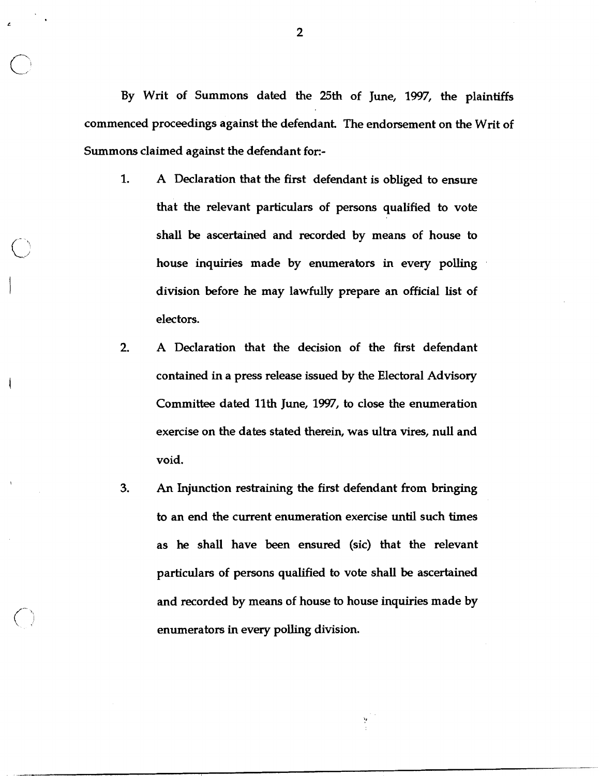By Writ of Summons dated the 25th of June, 1997, the plaintiffs commenced proceedings against the defendant. The endorsement on the Writ of Summons claimed against the defendant for:-

1. A Declaration that the first defendant is obliged to ensure that the relevant particulars of persons qualified to vote shall be ascertained and recorded by means of house to house inquiries made by enumerators in every polling division before he may lawfully prepare an official list of electors.

 $\bigcirc$ 

- 2. A Declaration that the decision of the first defendant contained in a press release issued by the Electoral Advisory Committee dated 11th June, 1997, to close the enumeration exercise on the dates stated therein, was ultra vires, null and void.
- **3.** An Injunction restraining the first defendant from bringing to an end the current enumeration exercise until such times as he shall have been ensured (sic) that the relevant particulars of persons qualified to vote shall be ascertained and recorded by means of house to house inquiries made by enumerators in every polling division.

 $\overline{2}$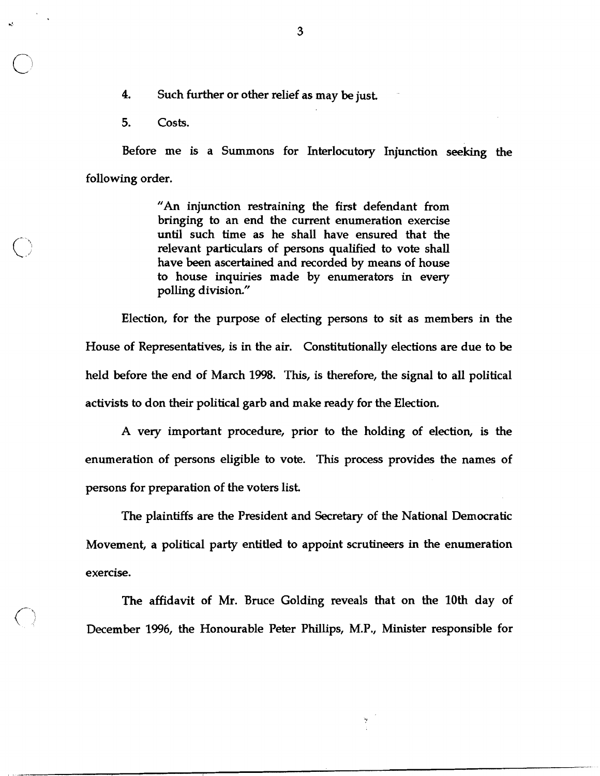**4.** Such further or other relief as may be just.

5. Costs.

 $\bigcirc$ 

Before me is a Summons for Interlocutory Injunction seeking the following order.

> "An injunction restraining the first defendant from bringing to an end the current enumeration exercise until such time as he shall have ensured that the relevant particulars of persons qualified to vote shall have been ascertained and recorded by means of house to house inquiries made by enumerators in every polling division."

Election, for the purpose of electing persons to sit as members in the House of Representatives, is in the air. Constitutionally elections are due to be held before the end of March 1998. This, is therefore, the signal to all political activists to don their political garb and make ready for the Election.

A very important procedure, prior to the holding of election, is the enumeration of persons eligible to vote. This process provides the names of persons for preparation of the voters list.

The plaintiffs are the President and Secretary of the National Democratic Movement, a political party entitled to appoint scrutineers in the enumeration exercise.

The affidavit of Mr. Bruce Golding reveals that on the 10th day of December 1996, the Honourable Peter Phillips, M.P., Minister responsible for

y

3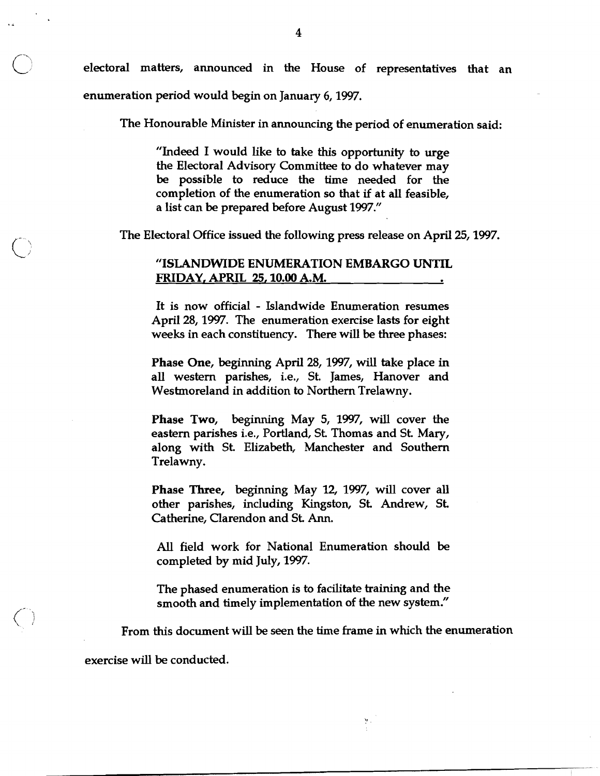electoral matters, announced in the House of representatives that an enumeration period would begin on January 6,1997.

The Honourable Minister in announcing the period of enumeration said:

"Indeed I would like to take this opportunity to urge the Electoral Advisory Committee to do whatever may be possible to reduce the time needed for the completion of the enumeration so that if at all feasible, a list can be prepared before August 1997."

The Electoral Office issued the following press release on April 25,1997.

## "ISLANDWIDE ENUMERATION EMBARGO **UNTIL**  FRIDAY, APRIL **25,10.00** A.M.

It is now official - Islandwide Enumeration resumes April 28,1997. The enumeration exercise lasts for eight weeks in each constituency. There will be three phases:

Phase One, beginning April 28, 1997, will take place in all western parishes, i.e., St. James, Hanover and Westmoreland in addition to Northern Trelawny.

Phase Two, beginning May 5, 1997, will cover the eastern parishes i.e., Portland, St Thomas and St. Mary, along with St. Elizabeth, Manchester and Southern Trelawny.

Phase Three, beginning May 12, 1997, will cover all other parishes, including Kingston, St. Andrew, St. Catherine, Clarendon and St **Ann.** 

All field work for National Enumeration should be completed by mid July, 1997.

The phased enumeration is to facilitate training and the smooth and timely implementation of the new system."

From this document will be seen the time frame in which the enumeration

y.

exercise will be conducted.

 $\overline{\mathbf{4}}$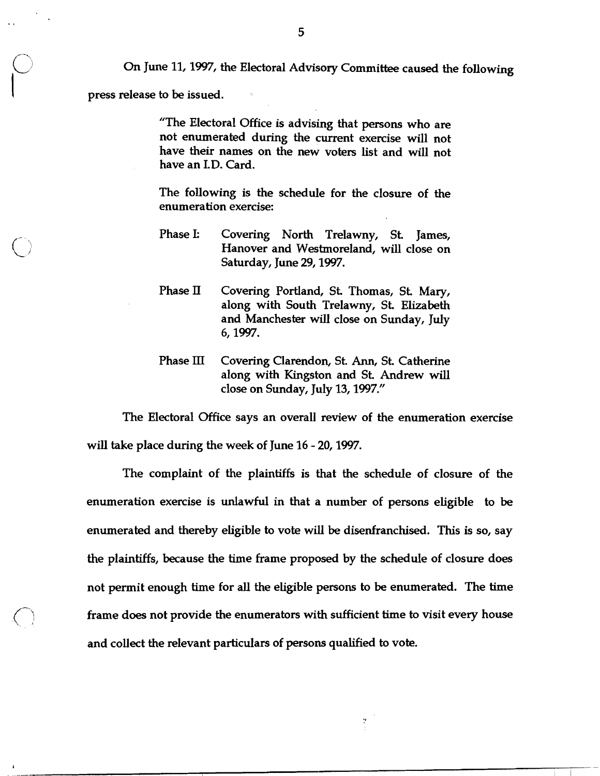On June 11,1997, the Electoral Advisory Committee caused the following

press release to be issued.

"The Electoral Office is advising that persons who are not enumerated during the current exercise will not have their names on the new voters list and will not have an I.D. Card.

The following is the schedule for the closure of the enumeration exercise:

- Phase I: Covering North Trelawny, St. James, Hanover and Westmoreland, will close on Saturday, June 29,1997.
- Phase II Covering Portland, St. Thomas, St. Mary, along with South Trelawny, St. Elizabeth and Manchester will close on Sunday, July 6,1997.
- Phase III Covering Clarendon, St. **Ann,** St. Catherine along with Kingston and St. Andrew will close on Sunday, July 13,1997."

The Electoral Office says an overall review of the enumeration exercise will take place during the week of June 16 - 20,1997.

The complaint of the plaintiffs is that the schedule of closure of the enumeration exercise is unlawful in that a number of persons eligible to be enumerated and thereby eligible to vote will be disenfranchised. This is so, say the plaintiffs, because the time frame proposed by the schedule of closure does not permit enough time for all the eligible persons to be enumerated. The time frame does not provide the enumerators with sufficient time to visit every house and collect the relevant particulars of persons qualified to vote.

Y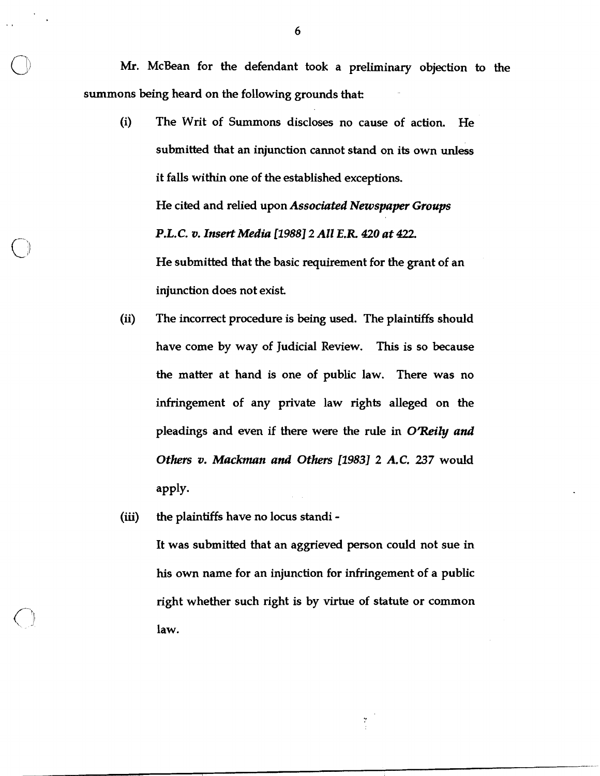Mr. McBean for the defendant took a preliminary objection to the summons being heard on the following grounds that:

- (i) The Writ of Summons discloses no cause of action. He submitted that an injunction cannot stand on its own unless it falls within one of the established exceptions. He cited and relied upon *Associated Newspaper Groups P.L.C.* **v.** *Insert Media* **[I9881** *2 All* **E.R** *420 at 422.*  He submitted that the basic requirement for the grant of an injunction does not exist.
- **(ii)** The incorrect procedure is being used. The plaintiffs should have come by way of Judicial Review. This is so because the matter at hand is one of public law. There was no infringement of any private law rights alleged on the pleadings and even if there were the rule in *O'Reily and Others* **v.** *Mackman and Others* **[I9831** *2 A.C.* **237** would apply.
- **(iii)** the plaintiffs have no locus standi -

It was submitted that an aggrieved person could not sue in his own name for an injunction for infringement of a public right whether such right is by virtue of statute or common law.

ty<br>C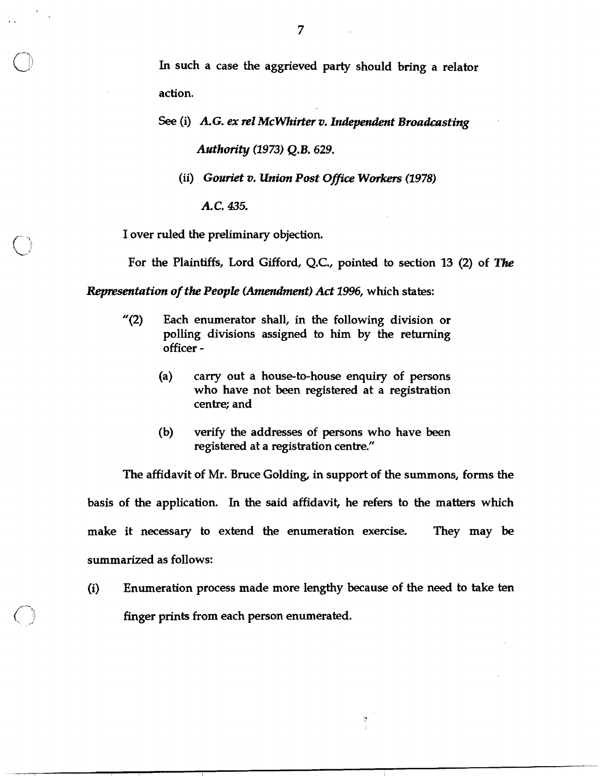In such a case the aggrieved party should bring a relator action.

*See* (i) *A. G. ex* **re1** *McWhirter* **v.** *Independent Broadcasting Authmity* **0973)** *Q.B.* **629.** 

(ii) *Gouriet* v. *Union Post* **Ofice Workers (1978)** 

*A.C.* **435.** 

I over ruled the preliminary objection.

For the Plaintiffs, Lord Gifford, Q.C., pointed to section 13 (2) of The

*Representation of the People (Amendment) Act 1996, which states:* 

- "(2) Each enumerator shall, in the following division or polling divisions assigned to him by the returning officer -
	- (a) carry out a house-to-house enquiry of persons who have not been registered at a registration centre; and
	- (b) verify the addresses of persons who have been registered at a registration centre."

The affidavit of Mr. Bruce Golding, in support of the summons, forms the basis of the application. In the said affidavit, he refers to the matters which make it necessary to extend the enumeration exercise. They may be summarized as follows:

(i) Enumeration process made more lengthy because of the need to take ten finger prints from each person enumerated.

Y

 $\overline{7}$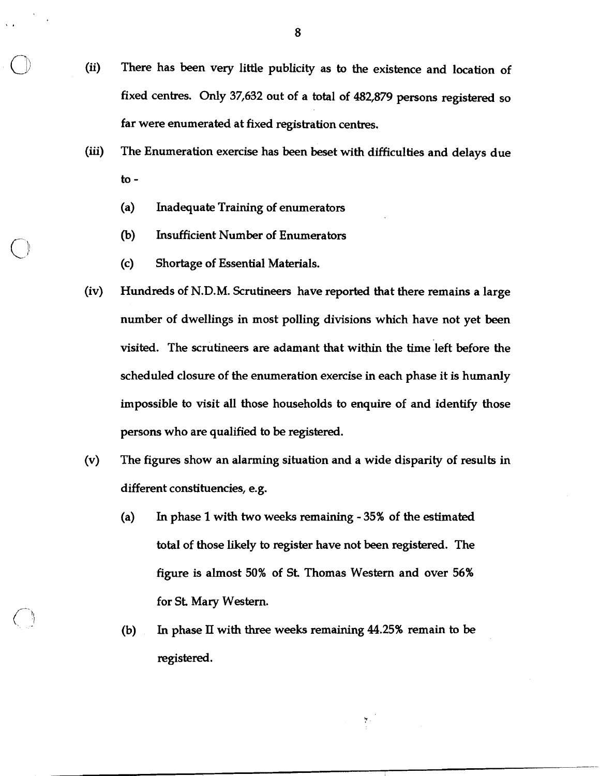- (ii) There has been very little publicity as to the existence and location of fixed centres. Only **37,632** out of a total of **482,879** persons registered so far were enumerated at fixed registration centres.
- **(iii)** The Enumeration exercise has been beset with difficulties and delays due to -
	- (a) Inadequate Training of enumerators
	- (b) Insufficient Number of Enumerators
	- (c) Shortage of Essential Materials.
- (iv) Hundreds of N.D.M. Scrutineers have reported that there remains a large number of dwellings in most polling divisions which have not yet been visited. The scrutineers are adamant that within the time left before the scheduled closure of the enumeration exercise in each phase it is humanly impossible to visit all those households to enquire of and identify those persons who are qualified to be registered.
- (v) The figures show an alarming situation and a wide disparity of results in different constituencies, e.g.
	- **(a)** In phase 1 with two weeks remaining **35%** of the estimated total of those likely to register have not been registered. The figure is almost **50%** of St. Thomas Western and over **56%**  for St. Mary Western.
	- (b) In phase **II** with three weeks remaining **44.25%** remain to **be**  registered.

Ņ.

8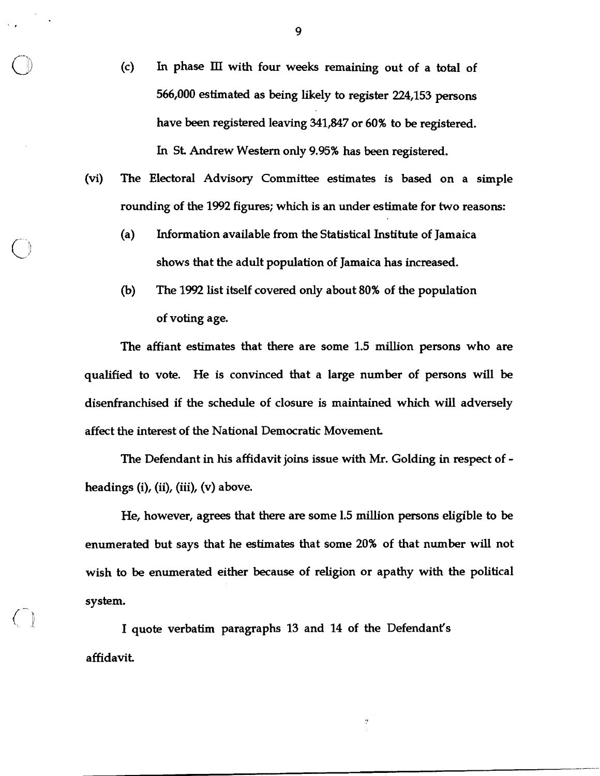- (c) In phase III with four weeks remaining out of a total of 566,000 estimated as being likely to register 224,153 persons have been registered leaving 341,847 or 60% to be registered. In St Andrew Western only 9.95% has been registered.
- (vi) The Electoral Advisory Committee estimates is based on a simple rounding of the 1992 figures; which is an under estimate for two reasons:
	- (a) Information available from the Statistical Institute of Jamaica shows that the adult population of Jamaica has increased.
	- **(b)** The 1992 list itself covered only about 80% of the population of voting age.

The affiant estimates that there are some 1.5 million persons who are qualified to vote. He is convinced that a large number of persons will be disenfranchised if the schedule of closure is maintained which will adversely affect the interest of the National Democratic Movement

The Defendant in his affidavit joins issue with Mr. Golding in respect of headings (i), (ii), (iii), (v) above.

He, however, agrees that there are some 1.5 million persons eligible to be enumerated but says that he estimates that some 20% of that number will not wish to be enumerated either because of religion or apathy with the political system.

Y

I quote verbatim paragraphs 13 and 14 of the Defendant's affidavit

9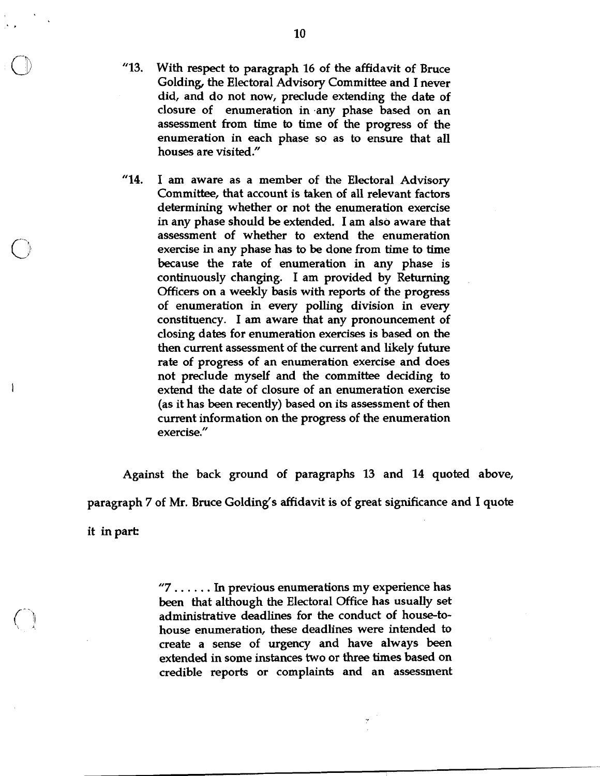- **"13.** With respect to paragraph 16 of the affidavit of Bruce Golding, the Electoral Advisory Committee and I never did, and do not now, preclude extending the date of closure of enumeration in .any phase based on an assessment from time to time of the progress of the enumeration in each phase so as to ensure that all houses are visited."
- **"14.** I am aware as a member of the Electoral Advisory Committee, that account is taken of all relevant factors determining whether or not the enumeration exercise in any phase should be extended. I am also aware that assessment of whether to extend the enumeration exercise in any phase has to be done from time to time because the rate of enumeration in any phase is continuously changing. I am provided by Returning Officers on a weekly basis with reports of the progress of enumeration in every polling division in every constituency. I am aware that any pronouncement of closing dates for enumeration exercises is based on the then current assessment of the current and likely **future**  rate of progress of an enumeration exercise and does not preclude myself and the committee deciding to extend the date of closure of an enumeration exercise (as it has been recently) based on its assessment of then current information on the progress of the enumeration exercise."

 $\mathbf{1}$ 

Against the back ground of paragraphs **13** and **14** quoted above, paragraph 7 of Mr. Bruce Golding's affidavit is of great sigruficance and I quote it in part

> **"7** . . . . . . In previous enumerations my experience has been that although the Electoral Office has usually set administrative deadlines for the conduct of house-tohouse enumeration, these deadlines were intended to create a sense of urgency and have always been extended in some instances two or three times based on credible reports or complaints and an assessment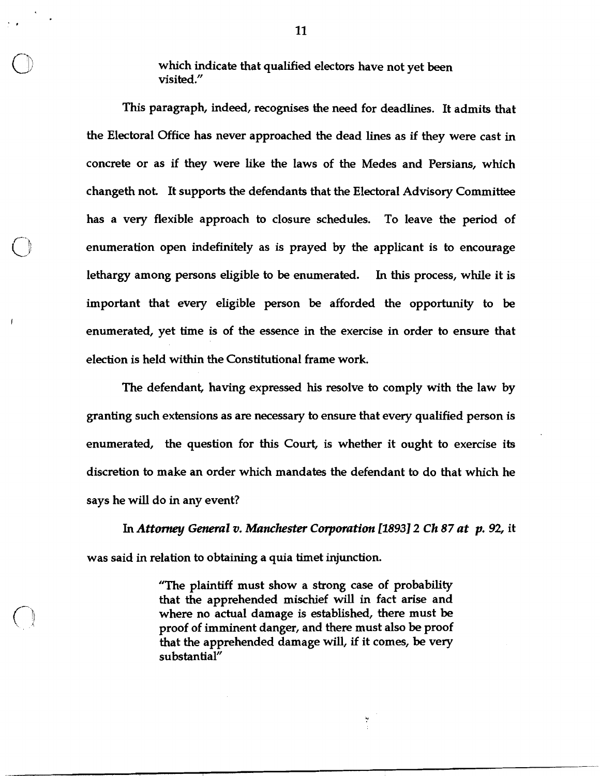which indicate that qualified electors have not yet been visited."

This paragraph, indeed, recognises the need for deadlines. It admits that the Electoral Office has never approached the dead lines as if they were cast in concrete or as if they were like the laws of the Medes and Persians, which changeth not. It supports the defendants that the Electoral Advisory Committee has a very flexible approach to closure schedules. To leave the period of enumeration open indefinitely as is prayed by the applicant is to encourage lethargy among persons eligible to be enumerated. In this process, while it is important that every eligible person be afforded the opportunity to be enumerated, yet time is of the essence in the exercise in order to ensure that election is held within the Constitutional frame work.

The defendant, having expressed his resolve to comply with the law by granting such extensions as are necessary to ensure that every qualified person is enumerated, the question for this Court, is whether it ought to exercise its discretion to make an order which mandates the defendant to do that which he says he will do in any event?

**In** *Attorney General* **v.** *Manchester Corporation* **118931** *2 Ch 87 at p. 92,* it was said in relation to obtaining a quia timet injunction.

> "The plaintiff must show a strong case of probability that the apprehended mischief will in fact arise and where no actual damage is established, there must be proof of imminent danger, and there must also be proof that the apprehended damage will, if it comes, be very substantial"

> > Y.